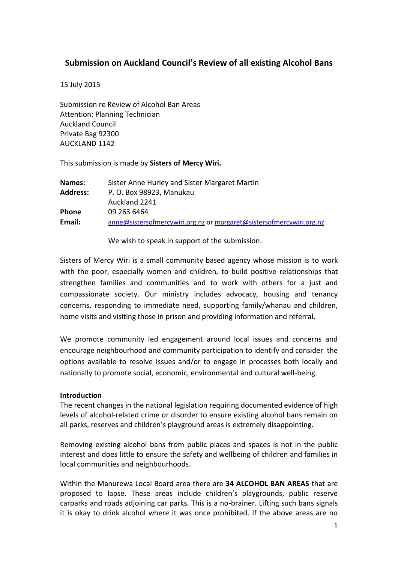# **Submission on Auckland Council's Review of all existing Alcohol Bans**

15 July 2015

Submission re Review of Alcohol Ban Areas Attention: Planning Technician Auckland Council Private Bag 92300 AUCKLAND 1142

This submission is made by **Sisters of Mercy Wiri.**

| Names:          | Sister Anne Hurley and Sister Margaret Martin                        |
|-----------------|----------------------------------------------------------------------|
| <b>Address:</b> | P. O. Box 98923, Manukau                                             |
|                 | Auckland 2241                                                        |
| Phone           | 09 263 6464                                                          |
| Email:          | anne@sistersofmercywiri.org.nz or margaret@sistersofmercywiri.org.nz |
|                 |                                                                      |

We wish to speak in support of the submission.

Sisters of Mercy Wiri is a small community based agency whose mission is to work with the poor, especially women and children, to build positive relationships that strengthen families and communities and to work with others for a just and compassionate society. Our ministry includes advocacy, housing and tenancy concerns, responding to immediate need, supporting family/whanau and children, home visits and visiting those in prison and providing information and referral.

We promote community led engagement around local issues and concerns and encourage neighbourhood and community participation to identify and consider the options available to resolve issues and/or to engage in processes both locally and nationally to promote social, economic, environmental and cultural well-being.

### **Introduction**

The recent changes in the national legislation requiring documented evidence of high levels of alcohol-related crime or disorder to ensure existing alcohol bans remain on all parks, reserves and children's playground areas is extremely disappointing.

Removing existing alcohol bans from public places and spaces is not in the public interest and does little to ensure the safety and wellbeing of children and families in local communities and neighbourhoods.

Within the Manurewa Local Board area there are **34 ALCOHOL BAN AREAS** that are proposed to lapse. These areas include children's playgrounds, public reserve carparks and roads adjoining car parks. This is a no-brainer. Lifting such bans signals it is okay to drink alcohol where it was once prohibited. If the above areas are no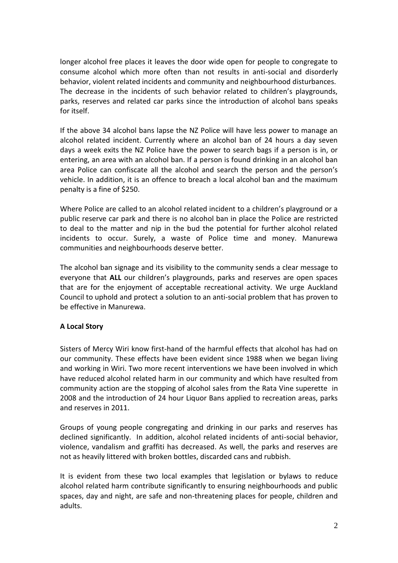longer alcohol free places it leaves the door wide open for people to congregate to consume alcohol which more often than not results in anti-social and disorderly behavior, violent related incidents and community and neighbourhood disturbances. The decrease in the incidents of such behavior related to children's playgrounds, parks, reserves and related car parks since the introduction of alcohol bans speaks for itself.

If the above 34 alcohol bans lapse the NZ Police will have less power to manage an alcohol related incident. Currently where an alcohol ban of 24 hours a day seven days a week exits the NZ Police have the power to search bags if a person is in, or entering, an area with an alcohol ban. If a person is found drinking in an alcohol ban area Police can confiscate all the alcohol and search the person and the person's vehicle. In addition, it is an offence to breach a local alcohol ban and the maximum penalty is a fine of \$250.

Where Police are called to an alcohol related incident to a children's playground or a public reserve car park and there is no alcohol ban in place the Police are restricted to deal to the matter and nip in the bud the potential for further alcohol related incidents to occur. Surely, a waste of Police time and money. Manurewa communities and neighbourhoods deserve better.

The alcohol ban signage and its visibility to the community sends a clear message to everyone that **ALL** our children's playgrounds, parks and reserves are open spaces that are for the enjoyment of acceptable recreational activity. We urge Auckland Council to uphold and protect a solution to an anti-social problem that has proven to be effective in Manurewa.

## **A Local Story**

Sisters of Mercy Wiri know first-hand of the harmful effects that alcohol has had on our community. These effects have been evident since 1988 when we began living and working in Wiri. Two more recent interventions we have been involved in which have reduced alcohol related harm in our community and which have resulted from community action are the stopping of alcohol sales from the Rata Vine superette in 2008 and the introduction of 24 hour Liquor Bans applied to recreation areas, parks and reserves in 2011.

Groups of young people congregating and drinking in our parks and reserves has declined significantly. In addition, alcohol related incidents of anti-social behavior, violence, vandalism and graffiti has decreased. As well, the parks and reserves are not as heavily littered with broken bottles, discarded cans and rubbish.

It is evident from these two local examples that legislation or bylaws to reduce alcohol related harm contribute significantly to ensuring neighbourhoods and public spaces, day and night, are safe and non-threatening places for people, children and adults.